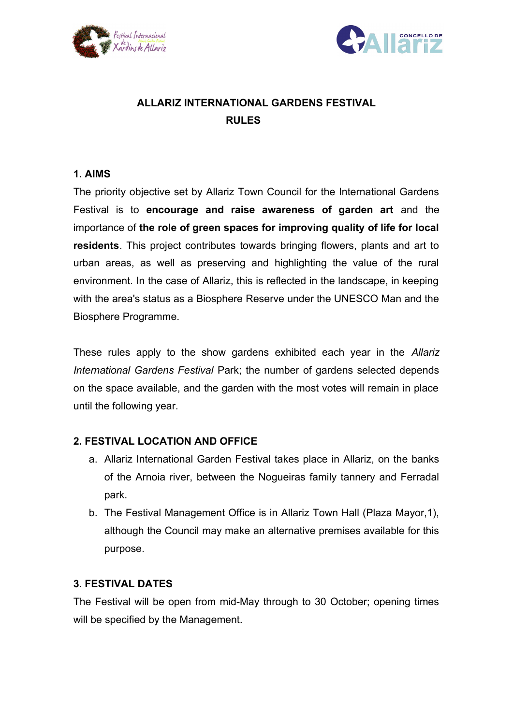



# **ALLARIZ INTERNATIONAL GARDENS FESTIVAL RULES**

### **1. AIMS**

The priority objective set by Allariz Town Council for the International Gardens Festival is to **encourage and raise awareness of garden art** and the importance of **the role of green spaces for improving quality of life for local residents**. This project contributes towards bringing flowers, plants and art to urban areas, as well as preserving and highlighting the value of the rural environment. In the case of Allariz, this is reflected in the landscape, in keeping with the area's status as a Biosphere Reserve under the UNESCO Man and the Biosphere Programme.

These rules apply to the show gardens exhibited each year in the *Allariz International Gardens Festival* Park; the number of gardens selected depends on the space available, and the garden with the most votes will remain in place until the following year.

#### **2. FESTIVAL LOCATION AND OFFICE**

- a. Allariz International Garden Festival takes place in Allariz, on the banks of the Arnoia river, between the Nogueiras family tannery and Ferradal park.
- b. The Festival Management Office is in Allariz Town Hall (Plaza Mayor,1), although the Council may make an alternative premises available for this purpose.

#### **3. FESTIVAL DATES**

The Festival will be open from mid-May through to 30 October; opening times will be specified by the Management.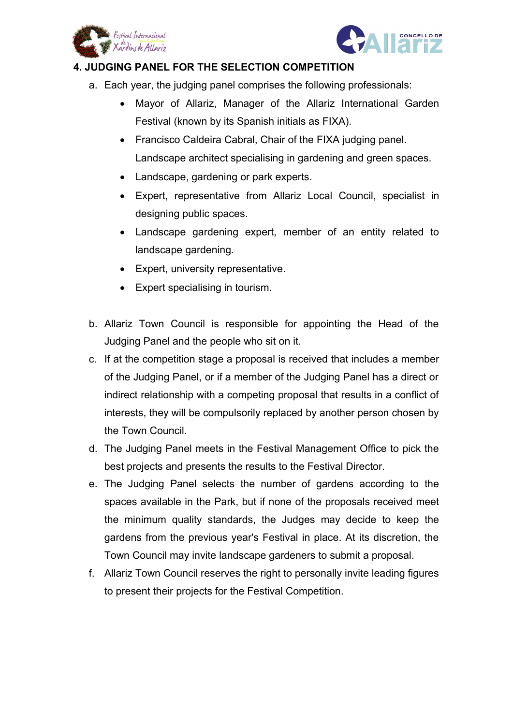



## **4. JUDGING PANEL FOR THE SELECTION COMPETITION**

- a. Each year, the judging panel comprises the following professionals:
	- Mayor of Allariz, Manager of the Allariz International Garden Festival (known by its Spanish initials as FIXA).
	- Francisco Caldeira Cabral, Chair of the FIXA judging panel. Landscape architect specialising in gardening and green spaces.
	- Landscape, gardening or park experts.
	- Expert, representative from Allariz Local Council, specialist in designing public spaces.
	- Landscape gardening expert, member of an entity related to landscape gardening.
	- Expert, university representative.
	- Expert specialising in tourism.
- b. Allariz Town Council is responsible for appointing the Head of the Judging Panel and the people who sit on it.
- c. If at the competition stage a proposal is received that includes a member of the Judging Panel, or if a member of the Judging Panel has a direct or indirect relationship with a competing proposal that results in a conflict of interests, they will be compulsorily replaced by another person chosen by the Town Council.
- d. The Judging Panel meets in the Festival Management Office to pick the best projects and presents the results to the Festival Director.
- e. The Judging Panel selects the number of gardens according to the spaces available in the Park, but if none of the proposals received meet the minimum quality standards, the Judges may decide to keep the gardens from the previous year's Festival in place. At its discretion, the Town Council may invite landscape gardeners to submit a proposal.
- f. Allariz Town Council reserves the right to personally invite leading figures to present their projects for the Festival Competition.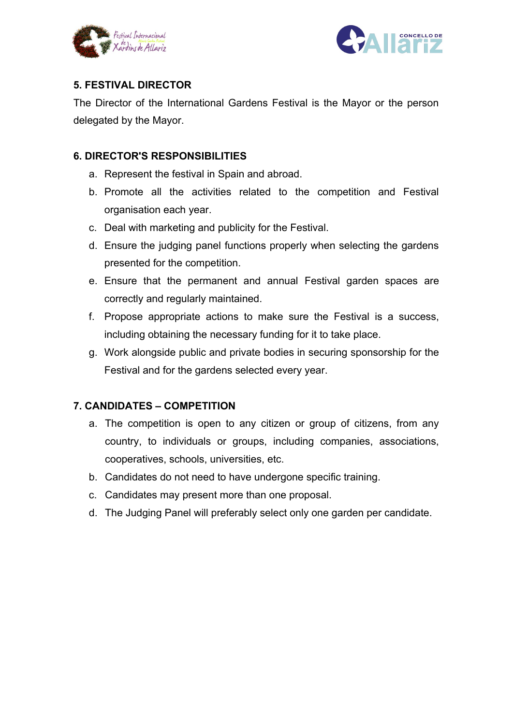



# **5. FESTIVAL DIRECTOR**

The Director of the International Gardens Festival is the Mayor or the person delegated by the Mayor.

# **6. DIRECTOR'S RESPONSIBILITIES**

- a. Represent the festival in Spain and abroad.
- b. Promote all the activities related to the competition and Festival organisation each year.
- c. Deal with marketing and publicity for the Festival.
- d. Ensure the judging panel functions properly when selecting the gardens presented for the competition.
- e. Ensure that the permanent and annual Festival garden spaces are correctly and regularly maintained.
- f. Propose appropriate actions to make sure the Festival is a success, including obtaining the necessary funding for it to take place.
- g. Work alongside public and private bodies in securing sponsorship for the Festival and for the gardens selected every year.

# **7. CANDIDATES – COMPETITION**

- a. The competition is open to any citizen or group of citizens, from any country, to individuals or groups, including companies, associations, cooperatives, schools, universities, etc.
- b. Candidates do not need to have undergone specific training.
- c. Candidates may present more than one proposal.
- d. The Judging Panel will preferably select only one garden per candidate.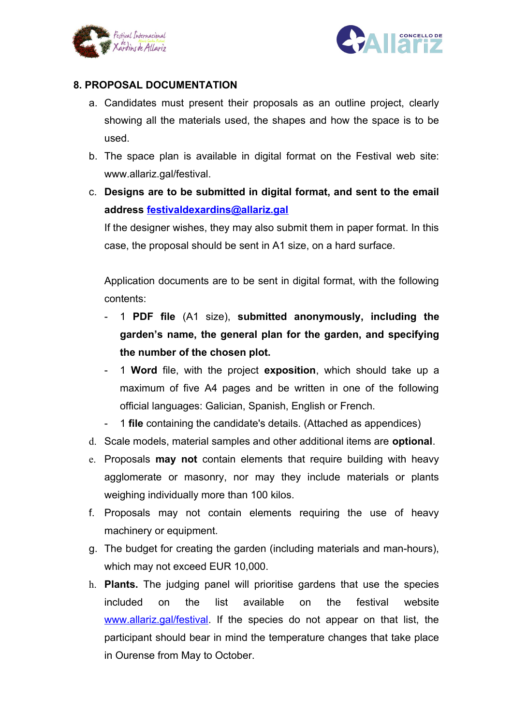



## **8. PROPOSAL DOCUMENTATION**

- a. Candidates must present their proposals as an outline project, clearly showing all the materials used, the shapes and how the space is to be used.
- b. The space plan is available in digital format on the Festival web site: www.allariz.gal/festival.
- c. **Designs are to be submitted in digital format, and sent to the email address [festivaldexardins@allariz.gal](mailto:festivaldexardins@allariz.com)**

If the designer wishes, they may also submit them in paper format. In this case, the proposal should be sent in A1 size, on a hard surface.

Application documents are to be sent in digital format, with the following contents:

- 1 **PDF file** (A1 size), **submitted anonymously, including the garden's name, the general plan for the garden, and specifying the number of the chosen plot.**
- 1 **Word** file, with the project **exposition**, which should take up a maximum of five A4 pages and be written in one of the following official languages: Galician, Spanish, English or French.
- 1 **file** containing the candidate's details. (Attached as appendices)
- d. Scale models, material samples and other additional items are **optional**.
- e. Proposals **may not** contain elements that require building with heavy agglomerate or masonry, nor may they include materials or plants weighing individually more than 100 kilos.
- f. Proposals may not contain elements requiring the use of heavy machinery or equipment.
- g. The budget for creating the garden (including materials and man-hours), which may not exceed EUR 10,000.
- h. **Plants.** The judging panel will prioritise gardens that use the species included on the list available on the festival website [www.allariz.gal/festival.](http://www.allariz.gal/festival) If the species do not appear on that list, the participant should bear in mind the temperature changes that take place in Ourense from May to October.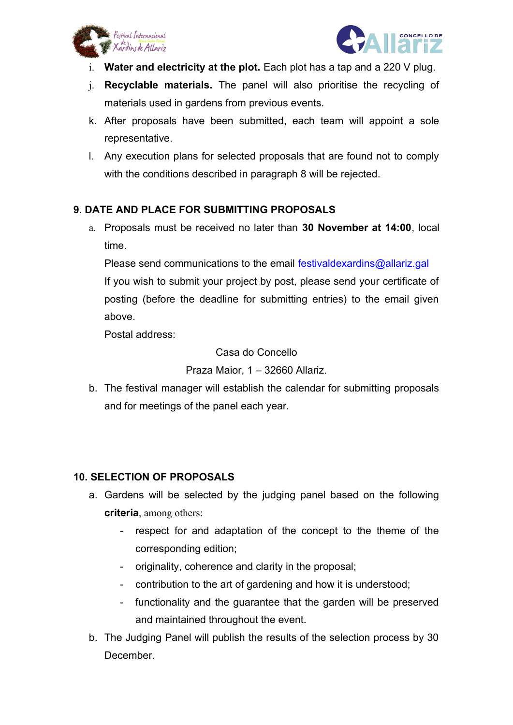



- i. **Water and electricity at the plot.** Each plot has a tap and a 220 V plug.
- j. **Recyclable materials.** The panel will also prioritise the recycling of materials used in gardens from previous events.
- k. After proposals have been submitted, each team will appoint a sole representative.
- l. Any execution plans for selected proposals that are found not to comply with the conditions described in paragraph 8 will be rejected.

# **9. DATE AND PLACE FOR SUBMITTING PROPOSALS**

a. Proposals must be received no later than **30 November at 14:00**, local time.

Please send communications to the email [festivaldexardins@allariz.gal](mailto:festivaldexardins@allariz.com) If you wish to submit your project by post, please send your certificate of posting (before the deadline for submitting entries) to the email given above.

Postal address:

Casa do Concello

Praza Maior, 1 – 32660 Allariz.

b. The festival manager will establish the calendar for submitting proposals and for meetings of the panel each year.

## **10. SELECTION OF PROPOSALS**

- a. Gardens will be selected by the judging panel based on the following **criteria**, among others:
	- respect for and adaptation of the concept to the theme of the corresponding edition;
	- originality, coherence and clarity in the proposal;
	- contribution to the art of gardening and how it is understood;
	- functionality and the guarantee that the garden will be preserved and maintained throughout the event.
- b. The Judging Panel will publish the results of the selection process by 30 **December**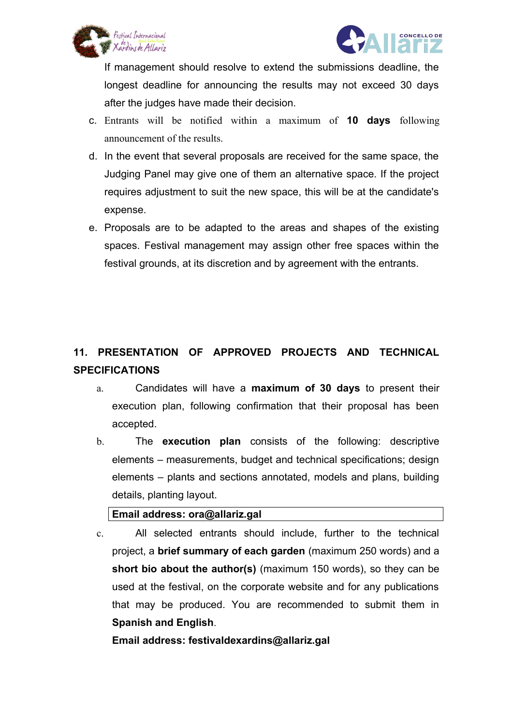



If management should resolve to extend the submissions deadline, the longest deadline for announcing the results may not exceed 30 days after the judges have made their decision.

- c. Entrants will be notified within a maximum of **10 days** following announcement of the results.
- d. In the event that several proposals are received for the same space, the Judging Panel may give one of them an alternative space. If the project requires adjustment to suit the new space, this will be at the candidate's expense.
- e. Proposals are to be adapted to the areas and shapes of the existing spaces. Festival management may assign other free spaces within the festival grounds, at its discretion and by agreement with the entrants.

# **11. PRESENTATION OF APPROVED PROJECTS AND TECHNICAL SPECIFICATIONS**

- a. Candidates will have a **maximum of 30 days** to present their execution plan, following confirmation that their proposal has been accepted.
- b. The **execution plan** consists of the following: descriptive elements – measurements, budget and technical specifications; design elements – plants and sections annotated, models and plans, building details, planting layout.

## **Email address: ora@allariz.gal**

c. All selected entrants should include, further to the technical project, a **brief summary of each garden** (maximum 250 words) and a **short bio about the author(s)** (maximum 150 words), so they can be used at the festival, on the corporate website and for any publications that may be produced. You are recommended to submit them in **Spanish and English**.

**Email address: festivaldexardins@allariz.gal**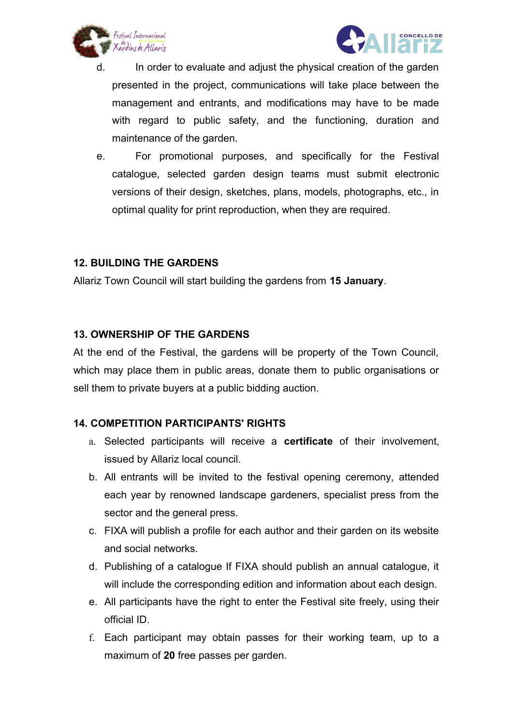



- d. In order to evaluate and adjust the physical creation of the garden presented in the project, communications will take place between the management and entrants, and modifications may have to be made with regard to public safety, and the functioning, duration and maintenance of the garden.
- e. For promotional purposes, and specifically for the Festival catalogue, selected garden design teams must submit electronic versions of their design, sketches, plans, models, photographs, etc., in optimal quality for print reproduction, when they are required.

### **12. BUILDING THE GARDENS**

Allariz Town Council will start building the gardens from **15 January**.

#### **13. OWNERSHIP OF THE GARDENS**

At the end of the Festival, the gardens will be property of the Town Council, which may place them in public areas, donate them to public organisations or sell them to private buyers at a public bidding auction.

## **14. COMPETITION PARTICIPANTS' RIGHTS**

- a. Selected participants will receive a **certificate** of their involvement, issued by Allariz local council.
- b. All entrants will be invited to the festival opening ceremony, attended each year by renowned landscape gardeners, specialist press from the sector and the general press.
- c. FIXA will publish a profile for each author and their garden on its website and social networks.
- d. Publishing of a catalogue If FIXA should publish an annual catalogue, it will include the corresponding edition and information about each design.
- e. All participants have the right to enter the Festival site freely, using their official ID.
- f. Each participant may obtain passes for their working team, up to a maximum of **20** free passes per garden.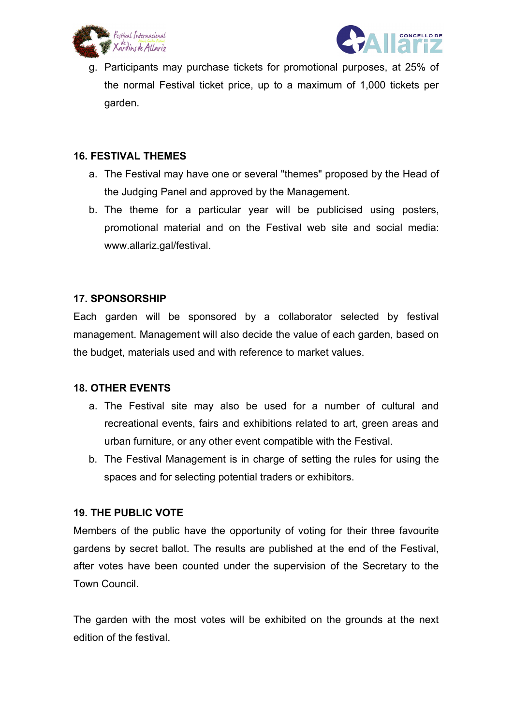



g. Participants may purchase tickets for promotional purposes, at 25% of the normal Festival ticket price, up to a maximum of 1,000 tickets per garden.

#### **16. FESTIVAL THEMES**

- a. The Festival may have one or several "themes" proposed by the Head of the Judging Panel and approved by the Management.
- b. The theme for a particular year will be publicised using posters, promotional material and on the Festival web site and social media: www.allariz.gal/festival.

### **17. SPONSORSHIP**

Each garden will be sponsored by a collaborator selected by festival management. Management will also decide the value of each garden, based on the budget, materials used and with reference to market values.

#### **18. OTHER EVENTS**

- a. The Festival site may also be used for a number of cultural and recreational events, fairs and exhibitions related to art, green areas and urban furniture, or any other event compatible with the Festival.
- b. The Festival Management is in charge of setting the rules for using the spaces and for selecting potential traders or exhibitors.

#### **19. THE PUBLIC VOTE**

Members of the public have the opportunity of voting for their three favourite gardens by secret ballot. The results are published at the end of the Festival, after votes have been counted under the supervision of the Secretary to the Town Council.

The garden with the most votes will be exhibited on the grounds at the next edition of the festival.